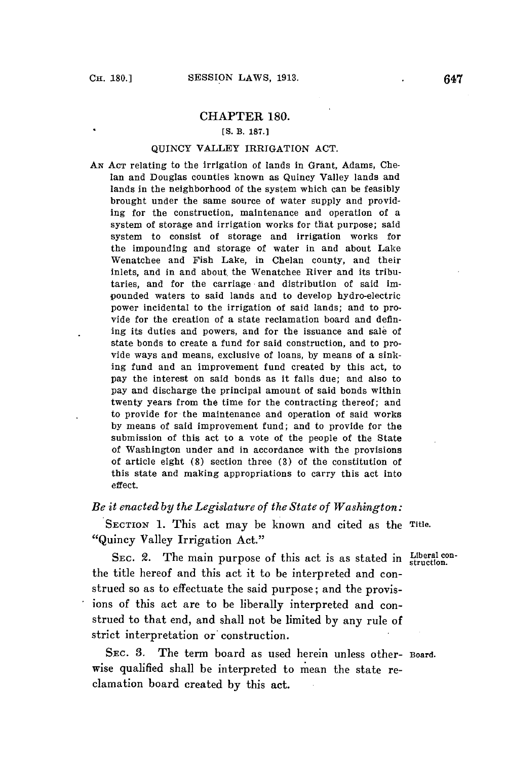### CHAPTER **180.**

#### **[S.** B. **187.1**

#### **QUINCY** VALLEY IRRIGATION **ACT.**

*AN* **ACT** relating to the irrigation of lands in Grant, Adams, Chelan and Douglas counties known as Quincy Valley lands and lands in the neighborhood of the system which can be feasibly brought under the same source of water supply and providing for the construction, maintenance and operation of a system of storage and irrigation works for that purpose; said system to consist of storage and irrigation works for the impounding and storage of water in and about Lake Wenatchee and Fish Lake, in Chelan county, and their inlets, and in and about the Wenatchee River and its tributaries, and for the carriage and distribution of said impounded waters to said lands and to develop hydro-electric power incidental to the irrigation of said lands; and to provide for the creation of a state reclamation board and defining its duties and powers, and for the issuance and sale of state bonds to create a fund for said construction, and to provide ways and means, exclusive of loans, **by** means of a sinking fund and an improvement fund created **by** this act, to pay the interest on said bonds as it falls due; and also to pay and discharge the principal amount of said bonds within twenty years from the time for the contracting thereof; and to provide for the maintenance and operation of said works **by** means of said improvement fund; and to provide for the submission of this act to a vote of the people of the State of Washington under and in accordance with the provisions of article eight **(8)** section three **(3)** of the constitution of this state and making appropriations to carry this act into effect.

## *Be it enacted by the Legislature of the State of Washington:*

SECTION **1.** This act may be known and cited as the **Title.** "Quincy Valley Irrigation Act."

SEC. 2. The main purpose of this act is as stated in **Liberal con**the title hereof and this act it to be interpreted and construed so as to effectuate the said purpose; and the provisions of this act are to be liberally interpreted and construed to that end, and shall not be limited **by** any rule of strict interpretation or construction.

SEC. **3.** The term board as used herein unless other- Board. wise qualified shall be interpreted to mean the state reclamation board created **by** this act.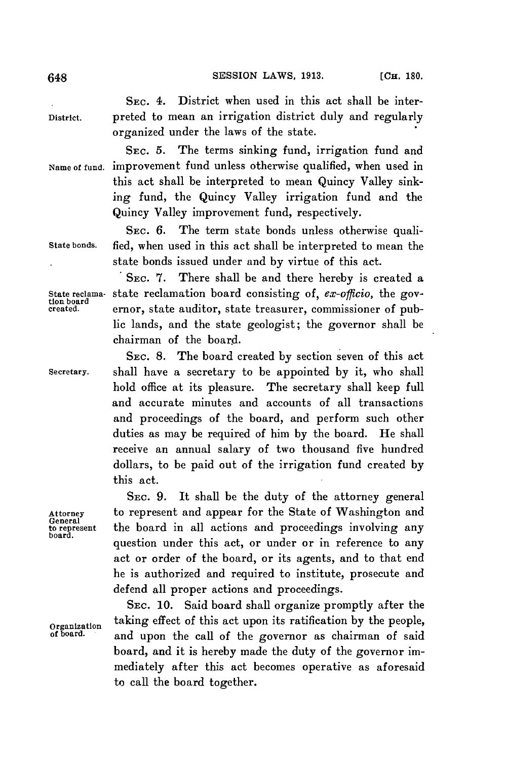648 **SESSION** LAWS, **1913. [CH. 180.**

SEC. 4. District when used in this act shall be inter-District. preted to mean an irrigation district duly and regularly organized under the laws of the state.

**SEC. 5.** The terms sinking fund, irrigation fund and Name of fund. improvement fund unless otherwise qualified, when used in this act shall be interpreted to mean Quincy Valley sinking fund, the Quincy Valley irrigation fund and the Quincy Valley improvement fund, respectively.

**SEC. 6.** The term state bonds unless otherwise quali-State bonds. fied, when used in this act shall be interpreted to mean the state bonds issued under and **by** virtue of this act.

**. SEC. 7.** There shall be and there hereby is created a State reclama- state reclamation board consisting of, *ex-officio*, the gov-<br>tion board<br>created. ernor, state auditor, state treasurer, commissioner of pubernor, state auditor, state treasurer, commissioner of public lands, and the state geologist; the governor shall be chairman of the board.

**SEC. 8.** The board created **by** section seven of this act secretary. shall have a secretary to be appointed **by** it, who shall hold office at its pleasure. The secretary shall keep full and accurate minutes and accounts of all transactions and proceedings of the board, and perform such other duties as may be required of him **by** the board. He shall receive an annual salary of two thousand five hundred dollars, to be paid out of the irrigation fund created **by** this act.

**SEC. 9.** It shall be the duty of the attorney general Attorney to represent and appear for the State of Washington and to represent the board in all actions and proceedings involving any<br>board. question under this act, or under or in reference to any act or order of the board, or its agents, and to that end he is authorized and required to institute, prosecute and defend all proper actions and proceedings.

SEC. **10.** Said board shall organize promptly after the Organization taking effect of this act upon its ratification **by** the people, and upon the call of the governor as chairman of said board, and it is hereby made the duty of the governor immediately after this act becomes operative as aforesaid to call the board together.

General<br>to represent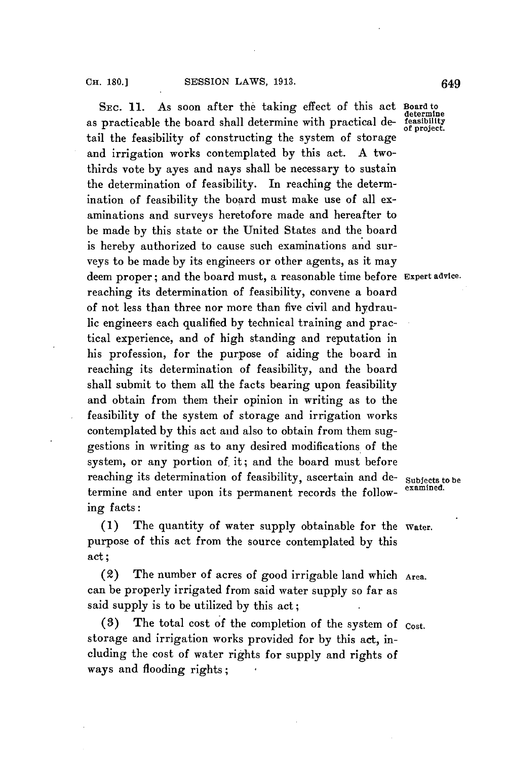**SEC. 11.** As soon after the taking effect of this act **Board to** as practicable the board shall determine with practical de- **feasibility** tail the feasibility of constructing the system of storage and irrigation works contemplated **by** this act. **A** twothirds vote **by** ayes and nays shall be necessary to sustain the determination of feasibility. In reaching the determination of feasibility the board must make use of all examinations and surveys heretofore made and hereafter to be made **by** this state or the United States and the board is hereby authorized to cause such examinations and surveys to be made **by** its engineers or other agents, as it may deem proper; and the board must, a reasonable time before **Expert advice.** reaching its determination of feasibility, convene a board of not less than three nor more than five civil and hydraulic engineers each qualified **by** technical training and practical experience, and of high standing and reputation in his profession, for the purpose of aiding the board in reaching its determination of feasibility, and the board shall submit to them all the facts bearing upon feasibility and obtain from them their opinion in writing as to the feasibility of the system of storage and irrigation works contemplated **by** this act and also to obtain from them suggestions in writing as to any desired modifications of the system, or any portion of it; and the board must before reaching its determination of feasibility, ascertain and de- **Subjects to be** termine and enter upon its permanent records the following facts:

**(1)** The quantity of water supply obtainable for the **Water.** purpose of this act from the source contemplated **by** this act;

(2) The number of acres of good irrigable land which **Area.** can be properly irrigated from said water supply so far as said supply is to be utilized **by** this act;

**(3)** The total cost of the completion of the system of **cost.** storage and irrigation works provided for **by** this act, including the cost of water rights for supply and rights of ways and flooding rights; **I**

**determine**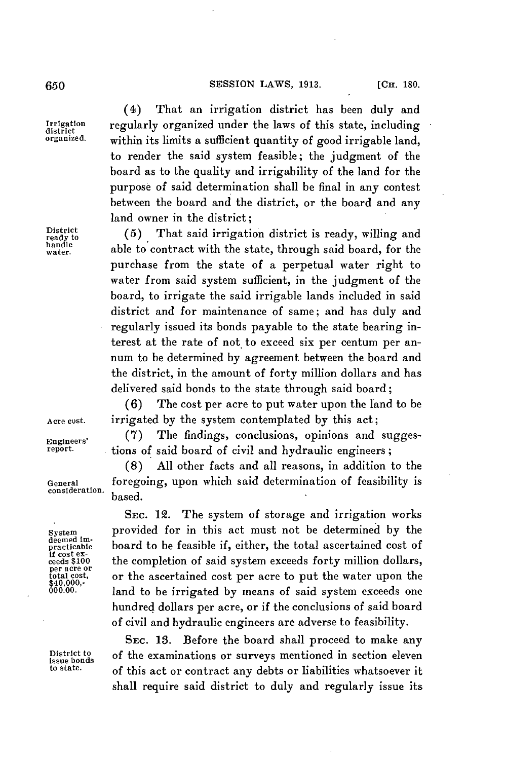#### **650 650 650 650 650 650 650 650 650 650 650 650 650 650 650 650 650 650 650 650 650 650 650 650 650 650 650 650 650 650 650 650 650 650 650 650 650**

(4) That an irrigation district has been duly and Irrigation regularly organized under the laws of this state, including<br>district<br>organized. within its limits a sufficient quantity of good irrigable land within its limits a sufficient quantity of good irrigable land, to render the said system feasible; the judgment of the board as to the quality and irrigability of the land for the purpose of said determination shall be final in any contest between the board and the district, or the board and any land owner in the district;

District (5) That said irrigation district is ready, willing and handle able to contract with the state, through said board, for the purchase from the state of a perpetual water right to water from said system sufficient, in the judgment of the board, to irrigate the said irrigable lands included in said district and for maintenance of same; and has duly and regularly issued its bonds payable to the state bearing interest at the rate of not to exceed six per centum per annum to be determined **by** agreement between the board and the district, in the amount of forty million dollars and has delivered said bonds to the state through said board;

**(6)** The cost per acre to put water upon the land to be Acre cost. irrigated **by** the system contemplated **by** this act;

Engineers' (7) The findings, conclusions, opinions and sugges-<br>report. tions of said board of givil and bydraulic engineers. tions of said board of civil and hydraulic engineers;

**(8) All** other facts and all reasons, in addition to the General foregoing, upon which said determination of feasibility is

**SEc.** 12. The system of storage and irrigation works system provided for in this act must not be determined **by** the deemeticable board to be feasible if, either, the total ascertained cost of it cost ex-<br>if cost ex-<br>ceeds \$100 the completion of said system exceeds forty million dollars, If cost ex-<br>ceeds \$100 the completion of said system exceeds forty million dollars,<br>per acre or per acre or total cost, or the ascertained cost per acre to put the water upon the \$40,000, land to be irrigated by means of said system exceeds one hundred dollars per acre, or if the conclusions of said board **of** civil and hydraulic engineers are adverse to feasibility.

**SEC. 13.** Before the board shall proceed to make any District to of the examinations or surveys mentioned in section eleven<br>to state.  $\sigma$  of this ast ar contract any debts or liabilities whatsoever it of this act or contract any debts or liabilities whatsoever it shall require said district to duly and regularly issue its

consideration. based.

deemed im-<br>practicable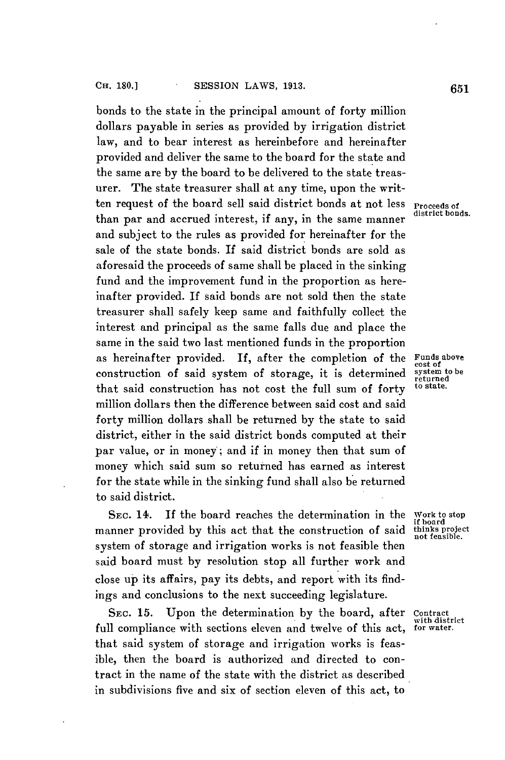bonds to the state in the principal amount of forty million dollars payable in series as provided **by** irrigation district law, and to bear interest as hereinbefore and hereinafter provided and deliver the same to the board for the state and the same are **by** the board to be delivered to the state treasurer. The state treasurer shall at any time, upon the written request of the board sell said district bonds at not less **Proceeds of** than par and accrued interest, if any, in the same manner and subject to the rules as provided for hereinafter for the sale of the state bonds. If said district bonds are sold as aforesaid the proceeds of same shall be placed in the sinking fund and the improvement fund in the proportion as hereinafter provided. **If** said bonds are not sold then the state treasurer shall safely keep same and faithfully collect the interest and principal as the same falls due and place the same in the said two last mentioned funds in the proportion as hereinafter provided. If, after the completion of the  $F_{\text{const of}}$ construction of said system of storage, it is determined system to be returned to state. that said construction has not cost the full sum of forty million dollars then the difference between said cost and said forty million dollars shall be returned **by** the state to said district, either in the said district bonds computed at their par value, or in money; and if in money then that sum of money which said sum so returned has earned as interest for the state while in the sinking fund shall also be returned to said district.

**SEC.** 14. **If** the board reaches the determination in the Work to stop **if** board manner provided by this act that the construction of said thinks project system of storage and irrigation works is not feasible then said board must **by** resolution stop all further work and close up its affairs, pay its debts, and report with its findings and conclusions to the next succeeding legislature.

**SEC. 15.** Upon the determination **by** the board, after contract full compliance with sections eleven and twelve of this act, that said system of storage and irrigation works is feasible, then the board is authorized and directed to contract in the name of the state with the district as described in subdivisions five and six of section eleven of this act, to

system to be

with district<br>for water.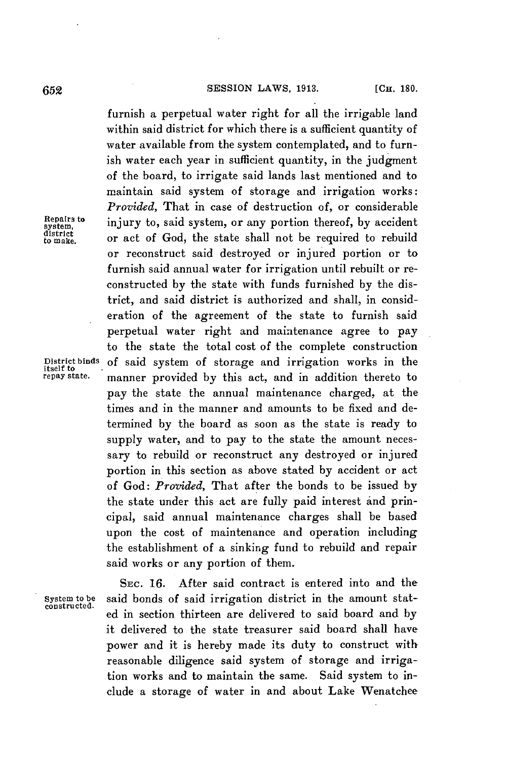furnish a perpetual water right for all the irrigable land within said district for which there is a sufficient quantity of water available from the system contemplated, and to furnish water each year in sufficient quantity, in the judgment of the board, to irrigate said lands last mentioned and to maintain said system of storage and irrigation works: *Provided,* That in case of destruction of, or considerable  $R_{\text{e}}$  injury to, said system, or any portion thereof, by accident or act of God, the state shall not be required to rebuild or reconstruct said destroyed or injured portion or to furnish said annual water for irrigation until rebuilt or reconstructed **by** the state with funds furnished **by** the district, and said district is authorized and shall, in consideration of the agreement of the state to furnish said perpetual water right and maintenance agree to pay to the state the total cost of the complete construction District binds of said system of storage and irrigation works in the itself to repay state. manner provided by this act and in addition thereto to manner provided by this act, and in addition thereto to pay the state the annual maintenance charged, at the times and in the manner and amounts to be fixed and determined **by** the board as soon as the state is ready to supply water, and to pay to the state the amount necessary to rebuild or reconstruct any destroyed or injured portion in this section as above stated **by** accident or act of God: *Provided,* That after the bonds to be issued **by** the state under this act are fully paid interest and principal, said annual maintenance charges shall be based upon the cost of maintenance and operation including the establishment of a sinking fund to rebuild and repair said works or any portion of them.

system,<br>district<br>to make.

**SEc. 16.** After said contract is entered into and the System to be said bonds of said irrigation district in the amount stat-constructed. ed in section thirteen are delivered to said board and by it delivered to the state treasurer said board shall have power and it is hereby made its duty to construct with reasonable diligence said system of storage and irrigation works and to maintain the same. Said system to include a storage of water in and about Lake Wenatchee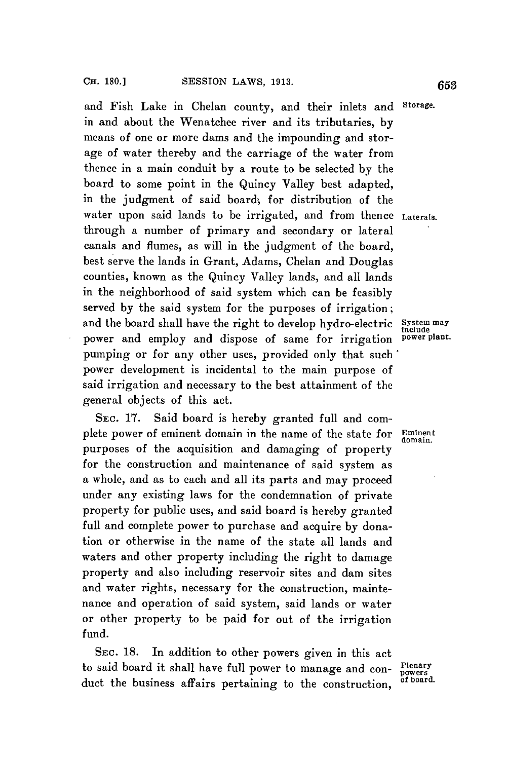and Fish Lake in Chelan county, and their inlets and Storage. in and about the Wenatchee river and its tributaries, **by** means of one or more dams and the impounding and storage of water thereby and the carriage of the water from thence in a main conduit **by** a route to be selected **by** the board to some point in the Quincy Valley best adapted, in the judgment of said board, for distribution of the water upon said lands to be irrigated, and from thence **Laterals.** through a number of primary and secondary or lateral canals and flumes, as will in the judgment of the board, best serve the lands in Grant, Adams, Chelan and Douglas counties, known as the Quincy Valley lands, and all lands in the neighborhood of said system which can be feasibly served **by** the said system for the purposes of irrigation; and the board shall have the right to develop hydro-electric **System may**<br>
nower and employ and dispose of same for irrigation **power** plant. power and employ and dispose of same for irrigation pumping or for any other uses, provided only that such' power development is incidental to the main purpose of said irrigation and necessary to the best attainment of the general objects of this act.

SEC. **17.** Said board is hereby granted full and complete power of eminent domain in the name of the state for **Eminent** purposes of the acquisition and damaging of property for the construction and maintenance of said system as a whole, and as to each and all its parts and may proceed under any existing laws for the condemnation of private property for public uses, and said board is hereby granted full and complete power to purchase and acquire **by** donation or otherwise in the name of the state all lands and waters and other property including the right to damage property and also including reservoir sites and dam sites and water rights, necessary for the construction, maintenance and operation of said system, said lands or water or other property to be paid for out of the irrigation fund.

**SEC. 18.** In addition to other powers given in this act to said board it shall have full power to manage and con- **penary** duct the business affairs pertaining to the construction, of board.

domain.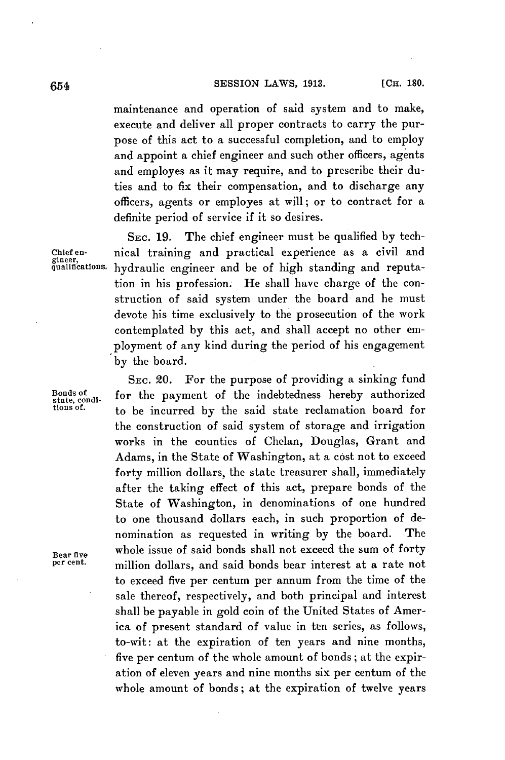## **SESSION LAWS, 1913. [CH. 180. [CH. 180.**

maintenance and operation of said system and to make, execute and deliver all proper contracts to carry the purpose of this act to a successful completion, and to employ and appoint a chief engineer and such other officers, agents and employes as it may require, and to prescribe their duties and to fix their compensation, and to discharge any officers, agents or employes at will; or to contract for a definite period of service if it so desires.

SEC. **19.** The chief engineer must be qualified **by** tech-Chief en-<br>gineer,<br>qualifications. hydraulic engineer and be of high standing and reputahydraulic engineer and be of high standing and reputation in his profession. He shall have charge of the construction of said system under the board and he must devote his time exclusively to the prosecution of the work contemplated **by** this act, and shall accept no other employment of any kind during the period of his engagement **by** the board.

**SEC.** 20. For the purpose of providing a sinking fund  $\frac{1}{\text{State}}$  condi-<br>state, condi-<br>tions of to be incurred by the said state reclamation board for the construction of said system of storage and irrigation works in the counties of Chelan, Douglas, Grant and Adams, in the State of Washington, at a cost not to exceed forty million dollars, the state treasurer shall, immediately after the taking effect of this act, prepare bonds of the State of Washington, in denominations of one hundred to one thousand dollars each, in such proportion of denomination as requested in writing **by** the board. The Bear five whole issue of said bonds shall not exceed the sum of forty million dollars, and said bonds bear interest at a rate not to exceed five per centurn per annum from the time of the sale thereof, respectively, and both principal and interest shall be payable in gold coin of the United States of America of present standard of value in ten series, as follows, to-wit: at the expiration of ten years and nine months, five per centum of the whole amount of bonds; at the expiration of eleven years and nine months six per centum of the whole amount of bonds; at the expiration of twelve years

Bonds of<br>state, condi-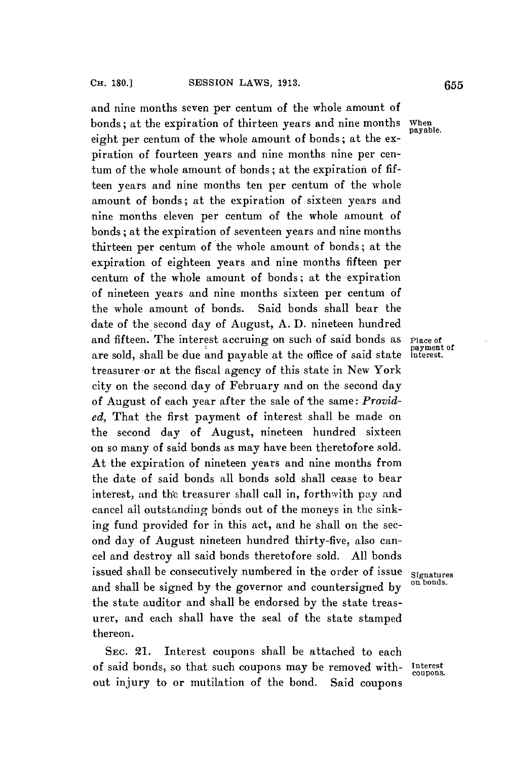and nine months seven per centum of the whole amount of bonds; at the expiration of thirteen years and nine months eight per centum of the whole amount of bonds; at the expiration of fourteen years and nine months nine per centum of the whole amount of bonds; at the expiration of **fif**teen years and nine months ten per centum of the whole amount of bonds; at the expiration of sixteen years and nine months eleven per centum of the whole amount of bonds; at the expiration of seventeen years and nine months thirteen per centum of the whole amount of bonds; at the expiration of eighteen years and nine months fifteen per centum of the whole amount of bonds; at the expiration of nineteen years and nine months sixteen per centum of the whole amount of bonds. Said bonds shall bear the date of the second day of August, **A. ID.** nineteen hundred and fifteen. The interest accruing on such of said bonds as Place of are sold, shall be due and payable at the office of said state treasurer -or at the fiscal agency of this state in New York city on the second day of February and on the second day of August of each year after the sale of the same: *Provided,* That the first payment of interest shall be made on the second day of August, nineteen hundred sixteen on so many of said bonds as may have been theretofore sold. At the expiration of nineteen years and nine months from the date of said bonds all bonds sold shall cease to bear interest, and the treasurer shall call in, forthwith **pay** and cancel all outstanding bonds out of the moneys in the sinking fund provided for in this act, and he shall on the second day of August nineteen hundred thirty-five, also cancel and destroy all said bonds theretofore sold. **All** bonds issued shall be consecutively numbered in the order of issue signatures and shall be signed by the governor and countersigned by the state auditor and shall be endorsed **by** the state treasurer, and each shall have the seal of the state stamped thereon.

SEc. 21. Interest coupons shall be attached to each of said bonds, so that such coupons may be removed with- Interest out injury to or mutilation of the bond. Said coupons

When<br>payable.

payment of<br>interest.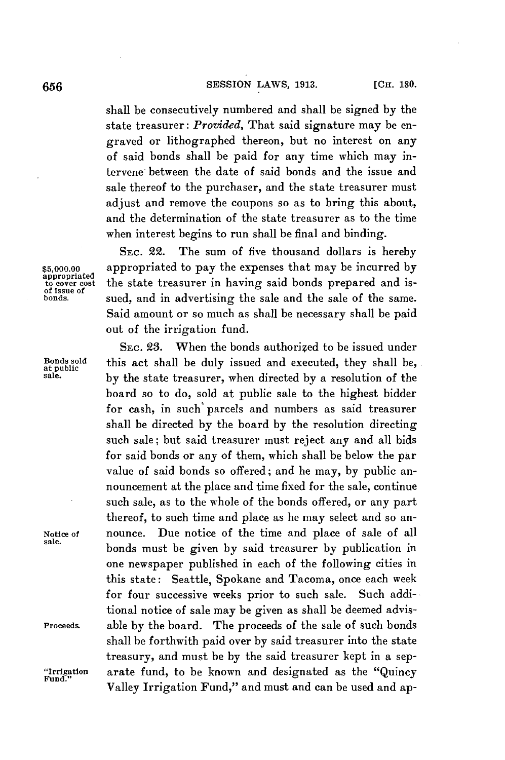# [CH. **180. 656 SESSION** LAWS, **1913.**

shall be consecutively numbered and shall be signed **by** the state treasurer: *Provided,* That said signature may be engraved or lithographed thereon, but no interest on any of said bonds shall be paid for any time which may intervene between the date of said bonds and the issue and sale thereof to the purchaser, and the state treasurer must adjust and remove the coupons so as to bring this about, and the determination of the state treasurer as to the time when interest begins to run shall be final and binding.

**SEC. 22.** The sum of five thousand dollars is hereby \$5,000.00 appropriated to pay the expenses that may be incurred by appropriated to expenses that may be incurred by the state treasurer in having said bonds prepared and isthe state treasurer in having said bonds prepared and issued, and in advertising the sale and the sale of the same. Said amount or so much as shall be necessary shall be paid out of the irrigation fund.

**SEC. 23.** When the bonds authorized to be issued under Bonds sold this act shall be duly issued and executed, they shall be, at public sale. **by** the state treasurer, when directed **by** a resolution of the board so to do, sold at public sale to the highest bidder for cash, in such' parcels and numbers as said treasurer shall be directed **by** the board **by** the resolution directing such sale; but said treasurer must reject any and all bids for said bonds or any of them, which shall be below the par value of said bonds so offered; and he may, **by** public announcement at the place and time fixed for the sale, continue such sale, as to the whole of the bonds offered, or any part thereof, to such time and place as he may select and so an-Notice of nounce. Due notice of the time and place of sale of all bonds must be given by said treasurer by publication in one newspaper published in each of the following cities in this state: Seattle, Spokane and Tacoma, once each week for four successive weeks prior to such sale. Such additional notice of sale may be given as shall be deemed advis-Proceeds. able **by** the board. The proceeds of the sale of such bonds shall be forthwith paid over **by** said treasurer into the state treasury, and must be **by** the said treasurer kept in a sep- "Irrigation arate fund, to be known and designated as the "Quincy Fund." Valley Irrigation Fund," and must and can be used and ap-

of issue of<br>honds.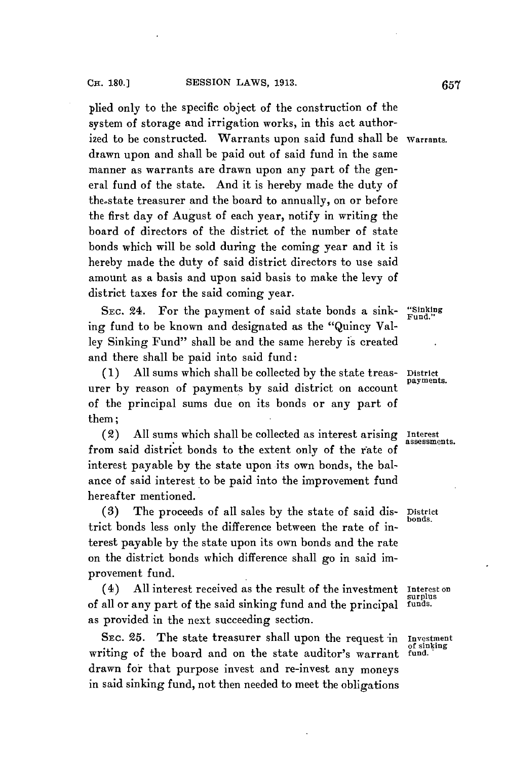plied only to the specific object of the construction of the system of storage and irrigation works, in this act authori2ed to be constructed. Warrants upon said fund shall be **Warrants.** drawn upon and shall be paid out of said fund in the same manner as warrants are drawn upon any part of the general fund of the state. And it is hereby made the duty of the.state treasurer and the board to annually, on or before the first day of August of each year, notify in writing the board of directors of the district of the number of state bonds which will be sold during the coming year and it is hereby made the duty of said district directors to use said amount as a basis and upon said basis to make the levy of district taxes for the said coming year.

**SEc.** 24. For the payment of said state bonds a sink- **"Sinking Fund."** ing fund to be known and designated as the "Quincy Valley Sinking Fund" shall be and the same hereby is created and there shall be paid into said fund:

**(1) All** sums which shall be collected **by** the state treas- **District** urer **by** reason of payments **by** said district on account of the principal sums due on its bonds or any part of them;

(2) **All** sums which shall be collected as interest arising **Interest** from said district bonds to the extent only of the rate of interest payable **by** the state upon its own bonds, the balance of said interest to be paid into the improvement fund hereafter mentioned.

**(3)** The proceeds of all sales **by** the state of said dis- **District** trict bonds less only the difference between the rate of interest payable **by** the state upon its own bonds and the rate on the district bonds which difference shall go in said improvement fund.

(4) All interest received as the result of the investment **Interest on**<br>all or any part of the said sinking fund and the principal surplus of all or any part of the said sinking fund and the principal **funds.** as provided in the next succeeding section.

**SEC. 25.** The state treasurer shall upon the request in Investment of sinking writing of the board and on the state auditor's warrant fund. drawn fot that purpose invest and re-invest any moneys in said sinking fund, not then needed to meet the obligations

**payments.**

assessments.

**bonds.**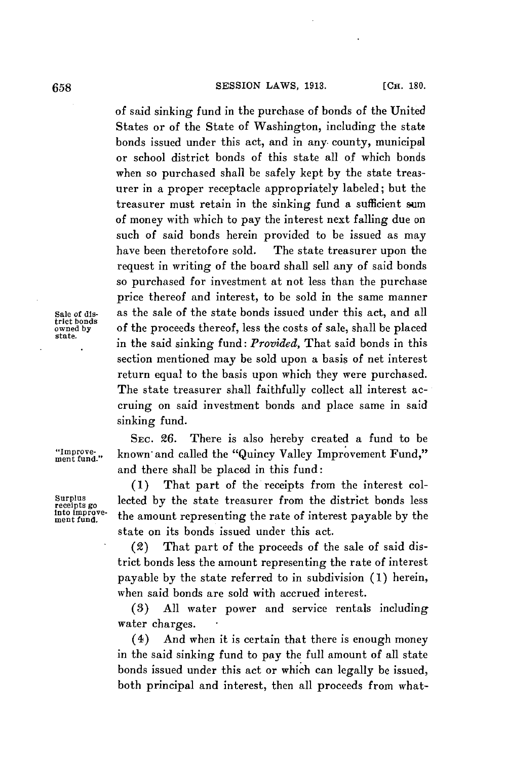#### **SESSION** LAWS, **1913. [CH. 180. 658**

of said sinking fund in the purchase of bonds of the United States or of the State of Washington, including the state bonds issued under this act, and in any. county, municipal or school district bonds of this state all of which bonds when so purchased shall be safely kept **by** the state treasurer in a proper receptacle appropriately labeled; but the treasurer must retain in the sinking fund a sufficient sum of money with which to pay the interest next falling due on such of said bonds herein provided to be issued as may have been theretofore sold. The state treasurer upon the request in writing of the board shall sell any of said bonds so purchased for investment at not less than the purchase price thereof and interest, to be sold in the same manner Sale of dis- as the sale of the state bonds issued under this act, and all owned by of the proceeds thereof, less the costs of sale, shall be placed<br>state. in the said sinking fund: *Provided*, That said bonds in this section mentioned may be sold upon a basis of net interest return equal to the basis upon which they were purchased. The state treasurer shall faithfully collect all interest accruing on said investment bonds and place same in said sinking fund.

**SEc. 26.** There is also hereby created a fund to be "Improve- known and called the "Quincy Valley Improvement Fund," and there shall be placed in this fund:

**(1)** That part of the receipts from the interest col-Surplus<br>receipts go<br>the oppose-<br>the amount representing the rate of interest parable by the respires<br>in fund, the amount representing the rate of interest payable by the state on its bonds issued under this act.

> (2) That part of the proceeds of the sale of said district bonds less the amount representing the rate of interest payable **by** the state referred to in subdivision **(1)** herein, when said bonds are sold with accrued interest.

> *(3)* **All** water power and service rentals including water charges.

> (4) And when it is certain that there is enough money in the said sinking fund to pay the full amount of all state bonds issued under this act or which can legally **be** issued, both principal and interest, then all proceeds from what-

trict bonds<br>owned by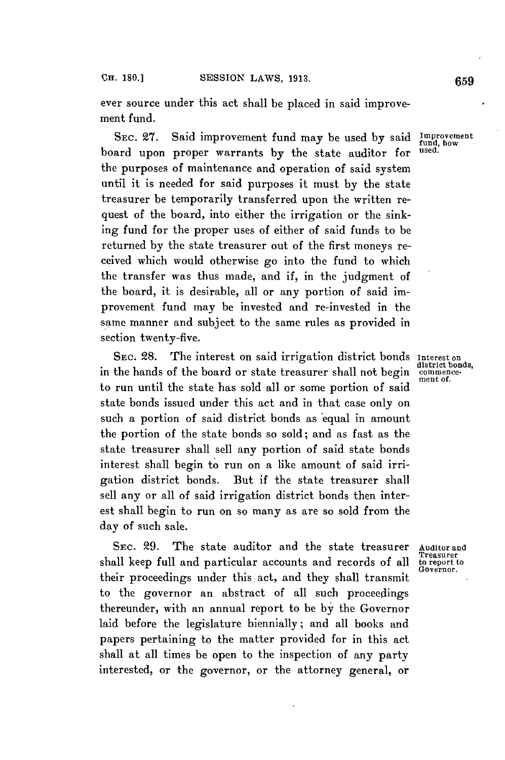**CH. 180.]**

ever source under this act shall be placed in said improvement fund.

**SEC. 27.** Said improvement fund may be used **by** said **Improvement** board upon proper warrants **by** the state auditor for **used.** the purposes of maintenance and operation of said system until it is needed for said purposes it must **by** the state treasurer be temporarily transferred upon the written request of the board, into either the irrigation or the sinking fund for the proper uses of either of said funds to be returned **by** the state treasurer out of the first moneys received which would otherwise go into the fund to which the transfer was thus made, and if, in the judgment of the board, it is desirable, all or any portion of said improvement fund may be invested and re-invested in the same manner and subject to the same rules as provided in section twenty-five.

SEC. 28. The interest on said irrigation district bonds Interest on<br>in the hands of the board or state treasurer shall not begin commenceto run until the state has sold all or some portion of said state bonds issued under this act and in that case only on such a portion of said district bonds as equal in amount the portion of the state bonds so sold; and as fast as the state treasurer shall sell any portion of said state bonds interest shall begin to run on a like amount of said irrigation district bonds. But if the state treasurer shall sell any or all of said irrigation district bonds then interest shall begin to run on so many as are so sold from the day of such sale.

SEC. 29. The state auditor and the state treasurer Auditor and **Treasurer** shall keep full and particular accounts and records of all **to report to** Governor. their proceedings under this act, and they shall transmit **<sup>G</sup>** to the governor an abstract of all such proceedings thereunder, with an annual report to be **by** the Governor laid before the legislature biennially; and all books and papers pertaining to the matter provided for in this act shall at all times be open to the inspection of any party interested, or the governor, or the attorney general, or

ment of.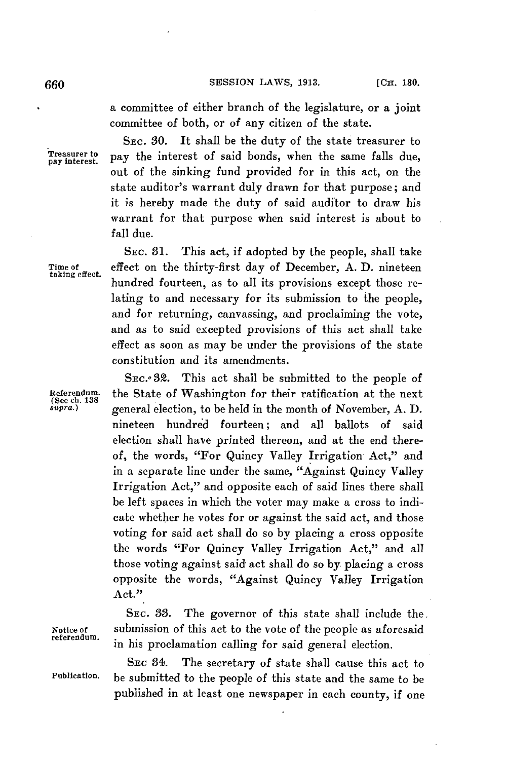**660 SESSION LAWS, 1913. ICH. 180.** 

a committee of either branch of the legislature, or a joint committee of both, or of any citizen of the state.

SEc. **80.** It shall be the duty of the state treasurer to **Treasurer to** ~ **<sup>1</sup> pay Interest.** pay the interest of said bonds, *when* the same falls due, out of the sinking fund provided for in this act, on the state auditor's warrant duly drawn for that purpose; and it is hereby made the duty of said auditor to draw his warrant for that purpose when said interest is about to fall due.

SEC. **31.** This act, if adopted **by** the people, shall take Time of effect on the thirty-first day of December, A. D. nineteen hundred fourteen, as to all its provisions except those relating to and necessary for its submission to the people, and for returning, canvassing, and proclaiming the vote, and as to said excepted provisions of this act shall take effect as soon as may be under the provisions of the state constitution and its amendments.

SEC.<sup>o</sup> 32. This act shall be submitted to the people of Referendum. **the State of Washington for their ratification at the next** (See ch. 138<br> *supra*.) **general election** to be held in the month of November A D *supra.)* general election, to be held in the month of November, **A. D.** nineteen hundred fourteen; and all ballots of said election shall have printed thereon, and at the end thereof, the words, "For Quincy Valley Irrigation Act," and in a separate line under the same, "Against Quincy Valley Irrigation Act," and opposite each of said lines there shall be left spaces in which the voter may make a cross to indicate whether he votes for or against the said act, and those voting for said act shall do so **by** placing a cross opposite the words "For Quincy Valley Irrigation Act," and all those voting against said act shall do so **by** placing a cross opposite the words, "Against Quincy Valley Irrigation Act."

**SEC. 33.** The governor of this state shall include the. Notice of submission of this act to the vote of the people as aforesaid<br>referendum. in his proclamation calling for said general election.

SEC 34. The secretary of state shall cause this act to Publication. be submitted to the people of this state and the same to be published in at least one newspaper in each county, if one

**taking effect.**